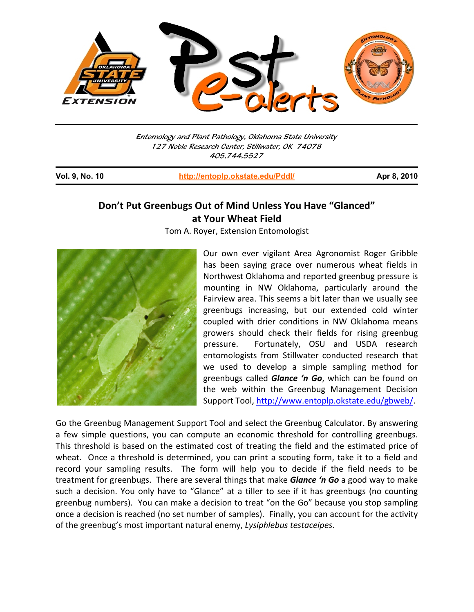

Entomology and Plant Pathology, Oklahoma State University 127 Noble Research Center, Stillwater, OK 74078 405.744.5527

I

**Vol. 9, No. 10 http://entoplp.okstate.edu/Pddl/ Apr 8, 2010**

## **Don't Put Greenbugs Out of Mind Unless You Have "Glanced" at Your Wheat Field**

Tom A. Royer, Extension Entomologist



Our own ever vigilant Area Agronomist Roger Gribble has been saying grace over numerous wheat fields in Northwest Oklahoma and reported greenbug pressure is mounting in NW Oklahoma, particularly around the Fairview area. This seems a bit later than we usually see greenbugs increasing, but our extended cold winter coupled with drier conditions in NW Oklahoma means growers should check their fields for rising greenbug pressure. Fortunately, OSU and USDA research entomologists from Stillwater conducted research that we used to develop a simple sampling method for greenbugs called *Glance 'n Go*, which can be found on the web within the Greenbug Management Decision Support Tool, http://www.entoplp.okstate.edu/gbweb/.

Go the Greenbug Management Support Tool and select the Greenbug Calculator. By answering a few simple questions, you can compute an economic threshold for controlling greenbugs. This threshold is based on the estimated cost of treating the field and the estimated price of wheat. Once a threshold is determined, you can print a scouting form, take it to a field and record your sampling results. The form will help you to decide if the field needs to be treatment for greenbugs. There are several things that make *Glance 'n Go* a good way to make such a decision. You only have to "Glance" at a tiller to see if it has greenbugs (no counting greenbug numbers). You can make a decision to treat "on the Go" because you stop sampling once a decision is reached (no set number of samples). Finally, you can account for the activity of the greenbug's most important natural enemy, *Lysiphlebus testaceipes*.